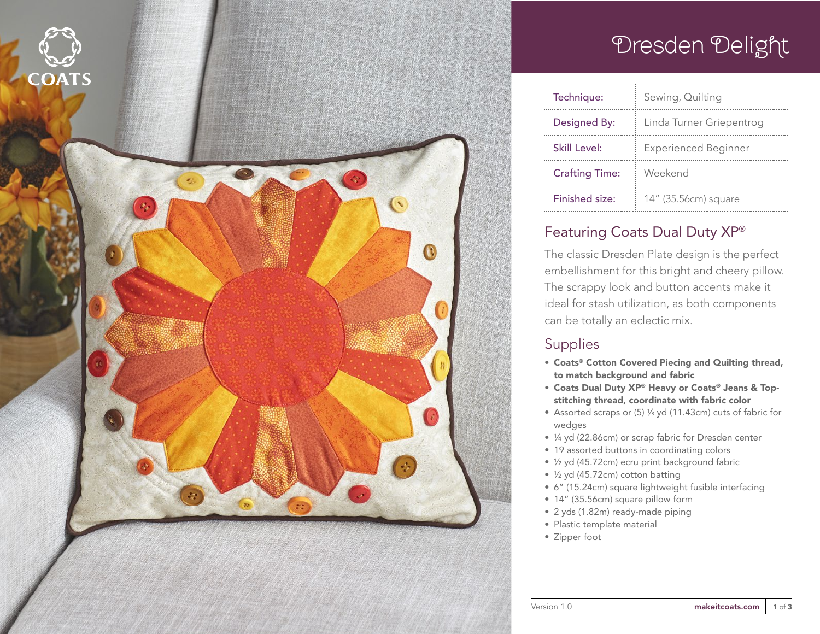

# Dresden Delight

| Technique:            | Sewing, Quilting            |
|-----------------------|-----------------------------|
| Designed By:          | Linda Turner Griepentrog    |
| Skill Level:          | <b>Experienced Beginner</b> |
| <b>Crafting Time:</b> | Weekend                     |
| Finished size:        | 14" (35.56cm) square        |

### Featuring Coats Dual Duty XP®

The classic Dresden Plate design is the perfect embellishment for this bright and cheery pillow. The scrappy look and button accents make it ideal for stash utilization, as both components can be totally an eclectic mix.

### **Supplies**

- Coats® Cotton Covered Piecing and Quilting thread, to match background and fabric
- Coats Dual Duty XP® Heavy or Coats® Jeans & Topstitching thread, coordinate with fabric color
- Assorted scraps or (5) 1/8 yd (11.43cm) cuts of fabric for wedges
- ¼ yd (22.86cm) or scrap fabric for Dresden center
- 19 assorted buttons in coordinating colors
- ½ yd (45.72cm) ecru print background fabric
- ½ yd (45.72cm) cotton batting
- 6" (15.24cm) square lightweight fusible interfacing
- 14" (35.56cm) square pillow form
- 2 yds (1.82m) ready-made piping
- Plastic template material
- Zipper foot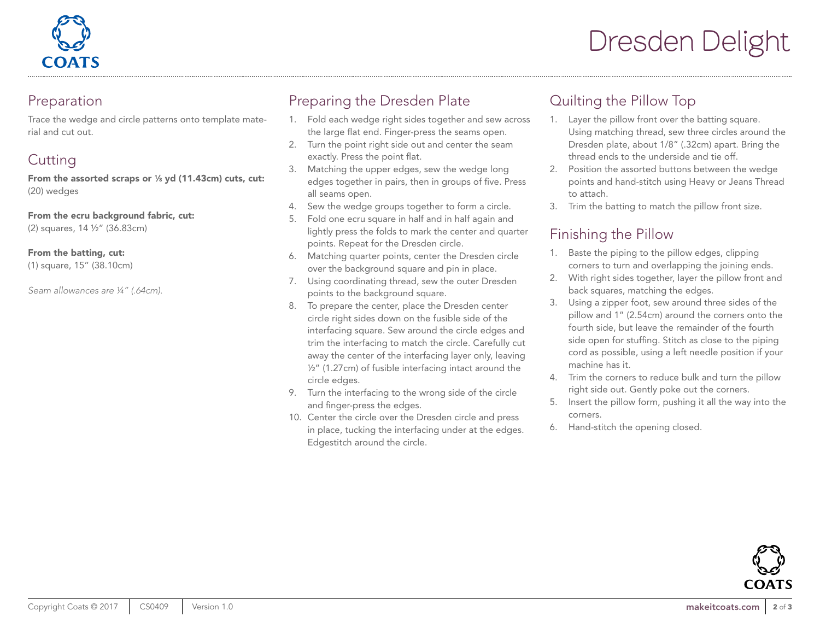

### Preparation

Trace the wedge and circle patterns onto template material and cut out.

# **Cutting**

From the assorted scraps or  $\frac{1}{8}$  yd (11.43cm) cuts, cut: (20) wedges

From the ecru background fabric, cut:

(2) squares, 14 ½" (36.83cm)

#### From the batting, cut:

(1) square, 15" (38.10cm)

*Seam allowances are ¼" (.64cm).*

## Preparing the Dresden Plate

- 1. Fold each wedge right sides together and sew across the large flat end. Finger-press the seams open.
- 2. Turn the point right side out and center the seam exactly. Press the point flat.
- 3. Matching the upper edges, sew the wedge long edges together in pairs, then in groups of five. Press all seams open.
- 4. Sew the wedge groups together to form a circle.
- 5. Fold one ecru square in half and in half again and lightly press the folds to mark the center and quarter points. Repeat for the Dresden circle.
- 6. Matching quarter points, center the Dresden circle over the background square and pin in place.
- 7. Using coordinating thread, sew the outer Dresden points to the background square.
- 8. To prepare the center, place the Dresden center circle right sides down on the fusible side of the interfacing square. Sew around the circle edges and trim the interfacing to match the circle. Carefully cut away the center of the interfacing layer only, leaving ½" (1.27cm) of fusible interfacing intact around the circle edges.
- 9. Turn the interfacing to the wrong side of the circle and finger-press the edges.
- 10. Center the circle over the Dresden circle and press in place, tucking the interfacing under at the edges. Edgestitch around the circle.

### Quilting the Pillow Top

- 1. Layer the pillow front over the batting square. Using matching thread, sew three circles around the Dresden plate, about 1/8" (.32cm) apart. Bring the thread ends to the underside and tie off.
- 2. Position the assorted buttons between the wedge points and hand-stitch using Heavy or Jeans Thread to attach.
- 3. Trim the batting to match the pillow front size.

## Finishing the Pillow

- 1. Baste the piping to the pillow edges, clipping corners to turn and overlapping the joining ends.
- 2. With right sides together, layer the pillow front and back squares, matching the edges.
- 3. Using a zipper foot, sew around three sides of the pillow and 1" (2.54cm) around the corners onto the fourth side, but leave the remainder of the fourth side open for stuffing. Stitch as close to the piping cord as possible, using a left needle position if your machine has it.
- 4. Trim the corners to reduce bulk and turn the pillow right side out. Gently poke out the corners.
- 5. Insert the pillow form, pushing it all the way into the corners.
- 6. Hand-stitch the opening closed.